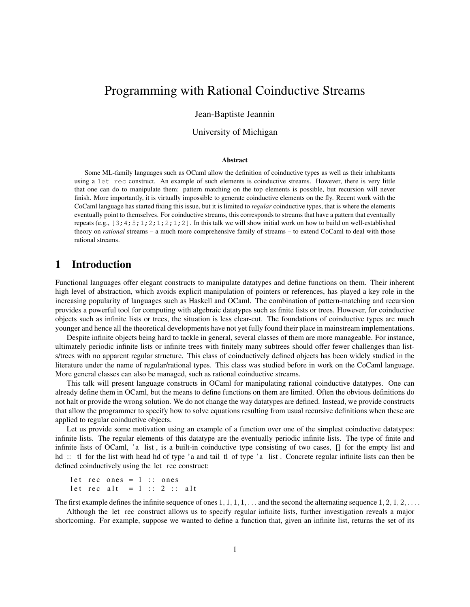# Programming with Rational Coinductive Streams

Jean-Baptiste Jeannin

#### University of Michigan

#### Abstract

Some ML-family languages such as OCaml allow the definition of coinductive types as well as their inhabitants using a let rec construct. An example of such elements is coinductive streams. However, there is very little that one can do to manipulate them: pattern matching on the top elements is possible, but recursion will never finish. More importantly, it is virtually impossible to generate coinductive elements on the fly. Recent work with the CoCaml language has started fixing this issue, but it is limited to *regular* coinductive types, that is where the elements eventually point to themselves. For coinductive streams, this corresponds to streams that have a pattern that eventually repeats (e.g.,  $[3;4;5;1;2;1;2;1;2]$ . In this talk we will show initial work on how to build on well-established theory on *rational* streams – a much more comprehensive family of streams – to extend CoCaml to deal with those rational streams.

### 1 Introduction

Functional languages offer elegant constructs to manipulate datatypes and define functions on them. Their inherent high level of abstraction, which avoids explicit manipulation of pointers or references, has played a key role in the increasing popularity of languages such as Haskell and OCaml. The combination of pattern-matching and recursion provides a powerful tool for computing with algebraic datatypes such as finite lists or trees. However, for coinductive objects such as infinite lists or trees, the situation is less clear-cut. The foundations of coinductive types are much younger and hence all the theoretical developments have not yet fully found their place in mainstream implementations.

Despite infinite objects being hard to tackle in general, several classes of them are more manageable. For instance, ultimately periodic infinite lists or infinite trees with finitely many subtrees should offer fewer challenges than lists/trees with no apparent regular structure. This class of coinductively defined objects has been widely studied in the literature under the name of regular/rational types. This class was studied before in work on the CoCaml language. More general classes can also be managed, such as rational coinductive streams.

This talk will present language constructs in OCaml for manipulating rational coinductive datatypes. One can already define them in OCaml, but the means to define functions on them are limited. Often the obvious definitions do not halt or provide the wrong solution. We do not change the way datatypes are defined. Instead, we provide constructs that allow the programmer to specify how to solve equations resulting from usual recursive definitions when these are applied to regular coinductive objects.

Let us provide some motivation using an example of a function over one of the simplest coinductive datatypes: infinite lists. The regular elements of this datatype are the eventually periodic infinite lists. The type of finite and infinite lists of OCaml, 'a list , is a built-in coinductive type consisting of two cases, [] for the empty list and hd :: tl for the list with head hd of type 'a and tail tl of type 'a list. Concrete regular infinite lists can then be defined coinductively using the let rec construct:

```
let rec ones = 1 :: ones
let rec alt = 1 :: 2 :: alt
```
The first example defines the infinite sequence of ones  $1, 1, 1, 1, \ldots$  and the second the alternating sequence  $1, 2, 1, 2, \ldots$ 

Although the let rec construct allows us to specify regular infinite lists, further investigation reveals a major shortcoming. For example, suppose we wanted to define a function that, given an infinite list, returns the set of its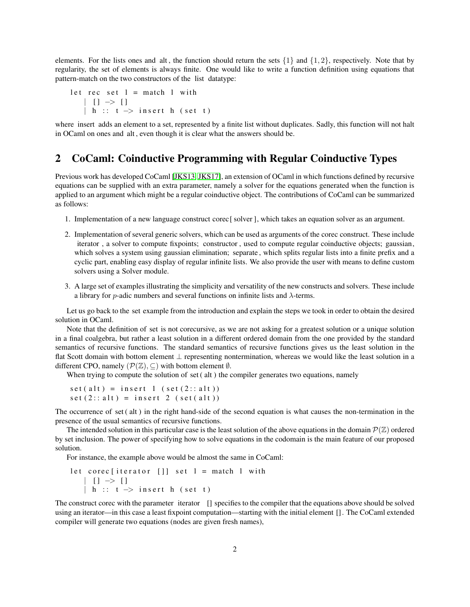elements. For the lists ones and alt, the function should return the sets  $\{1\}$  and  $\{1, 2\}$ , respectively. Note that by regularity, the set of elements is always finite. One would like to write a function definition using equations that pattern-match on the two constructors of the list datatype:

```
let rec set l = match l with
   | | | \rightarrow || h :: t \rightarrow insert h (set t)
```
where insert adds an element to a set, represented by a finite list without duplicates. Sadly, this function will not halt in OCaml on ones and alt , even though it is clear what the answers should be.

#### 2 CoCaml: Coinductive Programming with Regular Coinductive Types

Previous work has developed CoCaml [\[JKS13,](#page-2-0) [JKS17\]](#page-2-1), an extension of OCaml in which functions defined by recursive equations can be supplied with an extra parameter, namely a solver for the equations generated when the function is applied to an argument which might be a regular coinductive object. The contributions of CoCaml can be summarized as follows:

- 1. Implementation of a new language construct corec [ solver ], which takes an equation solver as an argument.
- 2. Implementation of several generic solvers, which can be used as arguments of the corec construct. These include iterator , a solver to compute fixpoints; constructor , used to compute regular coinductive objects; gaussian, which solves a system using gaussian elimination; separate, which splits regular lists into a finite prefix and a cyclic part, enabling easy display of regular infinite lists. We also provide the user with means to define custom solvers using a Solver module.
- 3. A large set of examples illustrating the simplicity and versatility of the new constructs and solvers. These include a library for *p*-adic numbers and several functions on infinite lists and  $\lambda$ -terms.

Let us go back to the set example from the introduction and explain the steps we took in order to obtain the desired solution in OCaml.

Note that the definition of set is not corecursive, as we are not asking for a greatest solution or a unique solution in a final coalgebra, but rather a least solution in a different ordered domain from the one provided by the standard semantics of recursive functions. The standard semantics of recursive functions gives us the least solution in the flat Scott domain with bottom element ⊥ representing nontermination, whereas we would like the least solution in a different CPO, namely  $(\mathcal{P}(\mathbb{Z}), \subset)$  with bottom element  $\emptyset$ .

When trying to compute the solution of set (alt) the compiler generates two equations, namely

```
set(alt) = insert 1 (set(2::alt))set (2::alt) = insert 2 (set (alt))
```
The occurrence of set ( alt ) in the right hand-side of the second equation is what causes the non-termination in the presence of the usual semantics of recursive functions.

The intended solution in this particular case is the least solution of the above equations in the domain  $\mathcal{P}(\mathbb{Z})$  ordered by set inclusion. The power of specifying how to solve equations in the codomain is the main feature of our proposed solution.

For instance, the example above would be almost the same in CoCaml:

```
let corec [iterator []] set l = match 1 with
    | [ ] \Rightarrow [ ]| h :: t \rightarrow insert h (set t)
```
The construct corec with the parameter iterator [] specifies to the compiler that the equations above should be solved using an iterator—in this case a least fixpoint computation—starting with the initial element []. The CoCaml extended compiler will generate two equations (nodes are given fresh names),